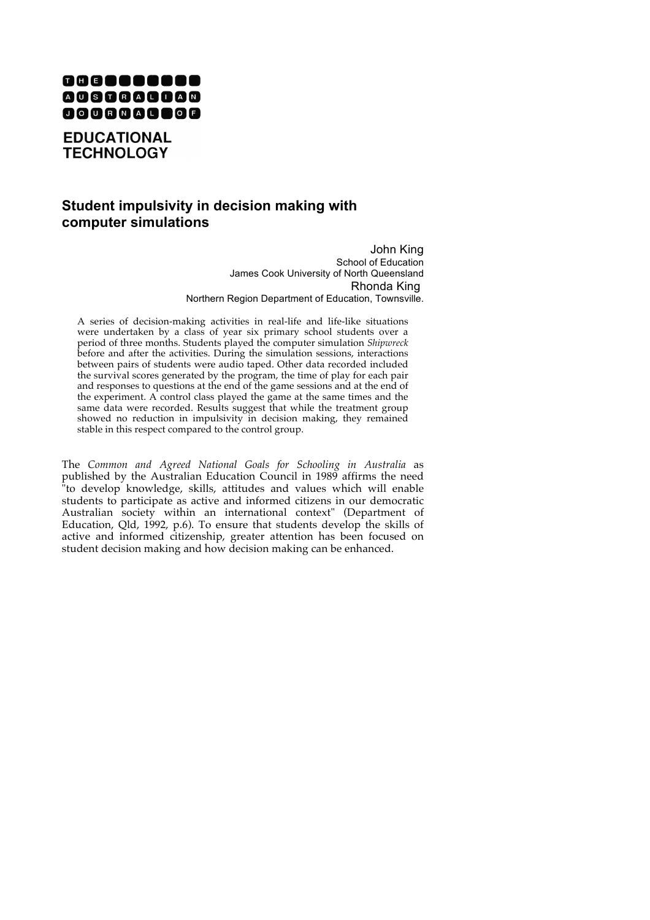

**EDUCATIONAL TECHNOLOGY** 

# **Student impulsivity in decision making with computer simulations**

John King School of Education James Cook University of North Queensland Rhonda King Northern Region Department of Education, Townsville.

A series of decision-making activities in real-life and life-like situations were undertaken by a class of year six primary school students over a period of three months. Students played the computer simulation *Shipwreck* before and after the activities. During the simulation sessions, interactions between pairs of students were audio taped. Other data recorded included the survival scores generated by the program, the time of play for each pair and responses to questions at the end of the game sessions and at the end of the experiment. A control class played the game at the same times and the same data were recorded. Results suggest that while the treatment group showed no reduction in impulsivity in decision making, they remained stable in this respect compared to the control group.

The *Common and Agreed National Goals for Schooling in Australia* as published by the Australian Education Council in 1989 affirms the need "to develop knowledge, skills, attitudes and values which will enable students to participate as active and informed citizens in our democratic Australian society within an international context" (Department of Education, Qld, 1992, p.6). To ensure that students develop the skills of active and informed citizenship, greater attention has been focused on student decision making and how decision making can be enhanced.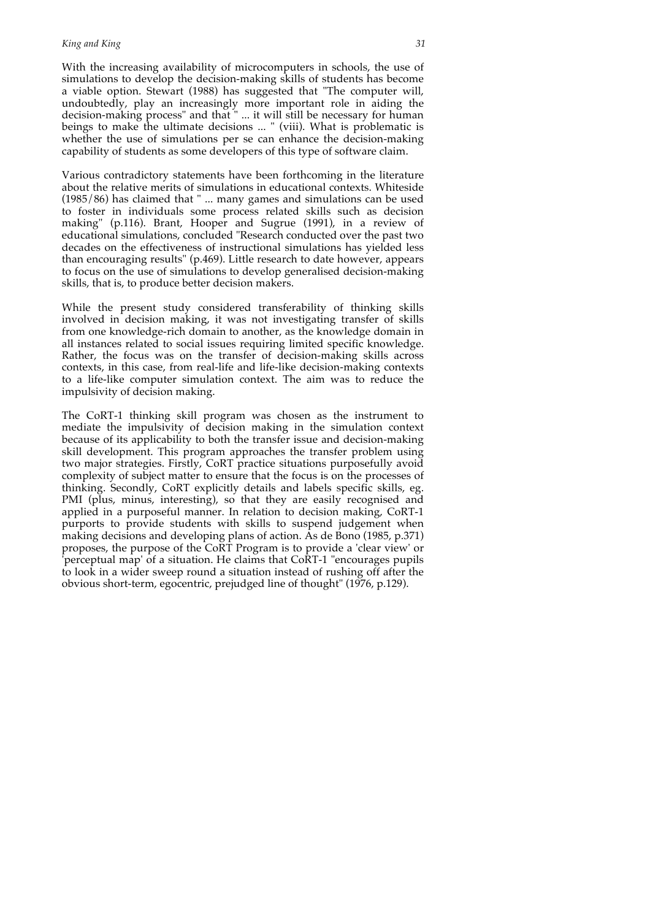With the increasing availability of microcomputers in schools, the use of simulations to develop the decision-making skills of students has become a viable option. Stewart (1988) has suggested that "The computer will, undoubtedly, play an increasingly more important role in aiding the decision-making process" and that " ... it will still be necessary for human beings to make the ultimate decisions ... " (viii). What is problematic is whether the use of simulations per se can enhance the decision-making capability of students as some developers of this type of software claim.

Various contradictory statements have been forthcoming in the literature about the relative merits of simulations in educational contexts. Whiteside (1985/86) has claimed that " ... many games and simulations can be used to foster in individuals some process related skills such as decision making" (p.116). Brant, Hooper and Sugrue (1991), in a review of educational simulations, concluded "Research conducted over the past two decades on the effectiveness of instructional simulations has yielded less than encouraging results" (p.469). Little research to date however, appears to focus on the use of simulations to develop generalised decision-making skills, that is, to produce better decision makers.

While the present study considered transferability of thinking skills involved in decision making, it was not investigating transfer of skills from one knowledge-rich domain to another, as the knowledge domain in all instances related to social issues requiring limited specific knowledge. Rather, the focus was on the transfer of decision-making skills across contexts, in this case, from real-life and life-like decision-making contexts to a life-like computer simulation context. The aim was to reduce the impulsivity of decision making.

The CoRT-1 thinking skill program was chosen as the instrument to mediate the impulsivity of decision making in the simulation context because of its applicability to both the transfer issue and decision-making skill development. This program approaches the transfer problem using two major strategies. Firstly, CoRT practice situations purposefully avoid complexity of subject matter to ensure that the focus is on the processes of thinking. Secondly, CoRT explicitly details and labels specific skills, eg. PMI (plus, minus, interesting), so that they are easily recognised and applied in a purposeful manner. In relation to decision making, CoRT-1 purports to provide students with skills to suspend judgement when making decisions and developing plans of action. As de Bono (1985, p.371) proposes, the purpose of the CoRT Program is to provide a 'clear view' or 'perceptual map' of a situation. He claims that CoRT-1 "encourages pupils to look in a wider sweep round a situation instead of rushing off after the obvious short-term, egocentric, prejudged line of thought" (1976, p.129).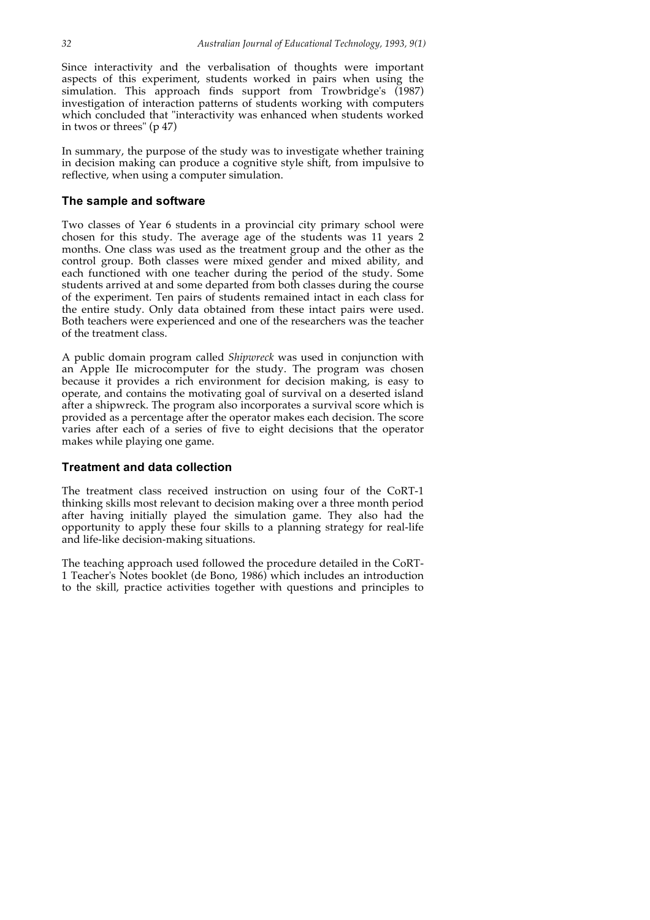Since interactivity and the verbalisation of thoughts were important aspects of this experiment, students worked in pairs when using the simulation. This approach finds support from Trowbridge's (1987) investigation of interaction patterns of students working with computers which concluded that "interactivity was enhanced when students worked in twos or threes" (p 47)

In summary, the purpose of the study was to investigate whether training in decision making can produce a cognitive style shift, from impulsive to reflective, when using a computer simulation.

## **The sample and software**

Two classes of Year 6 students in a provincial city primary school were chosen for this study. The average age of the students was 11 years 2 months. One class was used as the treatment group and the other as the control group. Both classes were mixed gender and mixed ability, and each functioned with one teacher during the period of the study. Some students arrived at and some departed from both classes during the course of the experiment. Ten pairs of students remained intact in each class for the entire study. Only data obtained from these intact pairs were used. Both teachers were experienced and one of the researchers was the teacher of the treatment class.

A public domain program called *Shipwreck* was used in conjunction with an Apple IIe microcomputer for the study. The program was chosen because it provides a rich environment for decision making, is easy to operate, and contains the motivating goal of survival on a deserted island after a shipwreck. The program also incorporates a survival score which is provided as a percentage after the operator makes each decision. The score varies after each of a series of five to eight decisions that the operator makes while playing one game.

## **Treatment and data collection**

The treatment class received instruction on using four of the CoRT-1 thinking skills most relevant to decision making over a three month period after having initially played the simulation game. They also had the opportunity to apply these four skills to a planning strategy for real-life and life-like decision-making situations.

The teaching approach used followed the procedure detailed in the CoRT-1 Teacher's Notes booklet (de Bono, 1986) which includes an introduction to the skill, practice activities together with questions and principles to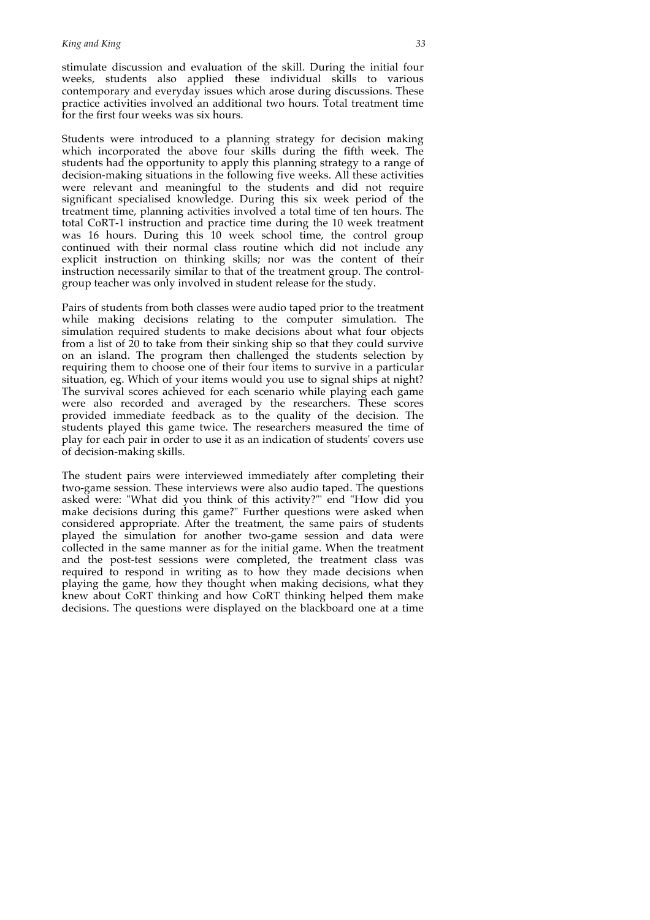stimulate discussion and evaluation of the skill. During the initial four weeks, students also applied these individual skills to various contemporary and everyday issues which arose during discussions. These practice activities involved an additional two hours. Total treatment time for the first four weeks was six hours.

Students were introduced to a planning strategy for decision making which incorporated the above four skills during the fifth week. The students had the opportunity to apply this planning strategy to a range of decision-making situations in the following five weeks. All these activities were relevant and meaningful to the students and did not require significant specialised knowledge. During this six week period of the treatment time, planning activities involved a total time of ten hours. The total CoRT-1 instruction and practice time during the 10 week treatment was 16 hours. During this 10 week school time, the control group continued with their normal class routine which did not include any explicit instruction on thinking skills; nor was the content of their instruction necessarily similar to that of the treatment group. The controlgroup teacher was only involved in student release for the study.

Pairs of students from both classes were audio taped prior to the treatment while making decisions relating to the computer simulation. The simulation required students to make decisions about what four objects from a list of  $20$  to take from their sinking ship so that they could survive on an island. The program then challenged the students selection by requiring them to choose one of their four items to survive in a particular situation, eg. Which of your items would you use to signal ships at night? The survival scores achieved for each scenario while playing each game were also recorded and averaged by the researchers. These scores provided immediate feedback as to the quality of the decision. The students played this game twice. The researchers measured the time of play for each pair in order to use it as an indication of students' covers use of decision-making skills.

The student pairs were interviewed immediately after completing their two-game session. These interviews were also audio taped. The questions asked were: "What did you think of this activity?"' end "How did you make decisions during this game?" Further questions were asked when considered appropriate. After the treatment, the same pairs of students played the simulation for another two-game session and data were collected in the same manner as for the initial game. When the treatment and the post-test sessions were completed, the treatment class was required to respond in writing as to how they made decisions when playing the game, how they thought when making decisions, what they knew about CoRT thinking and how CoRT thinking helped them make decisions. The questions were displayed on the blackboard one at a time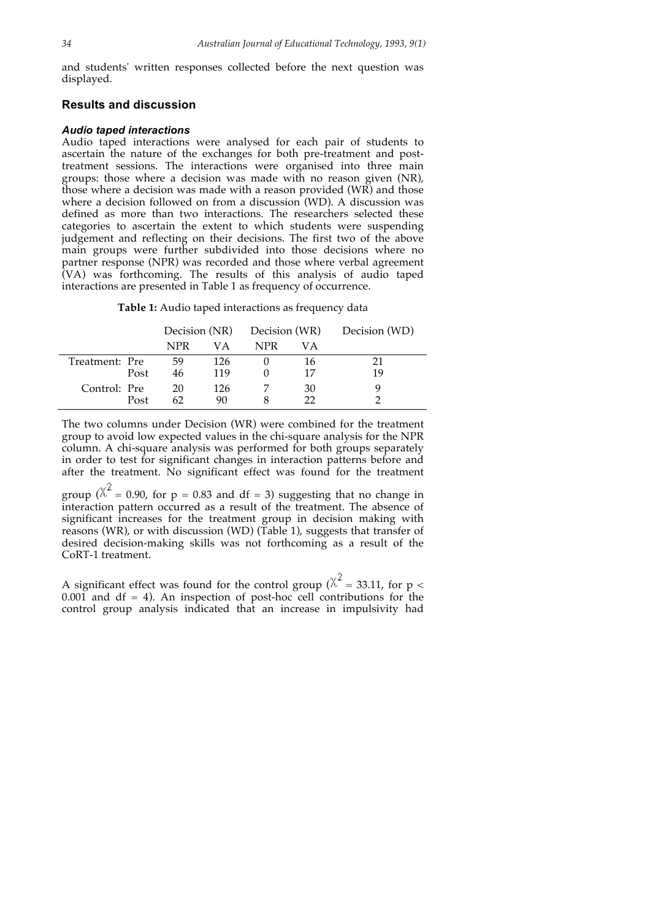and students' written responses collected before the next question was displayed.

# **Results and discussion**

#### *Audio taped interactions*

Audio taped interactions were analysed for each pair of students to ascertain the nature of the exchanges for both pre-treatment and posttreatment sessions. The interactions were organised into three main groups: those where a decision was made with no reason given (NR), those where a decision was made with a reason provided (WR) and those where a decision followed on from a discussion (WD). A discussion was defined as more than two interactions. The researchers selected these categories to ascertain the extent to which students were suspending judgement and reflecting on their decisions. The first two of the above main groups were further subdivided into those decisions where no partner response (NPR) was recorded and those where verbal agreement (VA) was forthcoming. The results of this analysis of audio taped interactions are presented in Table 1 as frequency of occurrence.

**Table 1:** Audio taped interactions as frequency data

|                |      |     |     | Decision (NR) Decision (WR) Decision (WD) |    |    |
|----------------|------|-----|-----|-------------------------------------------|----|----|
|                |      | NPR | VА  | NPR                                       | VА |    |
| Treatment: Pre |      | 59  | 126 |                                           | 16 |    |
|                | Post | 46  | 119 |                                           | 17 | 19 |
| Control: Pre   |      | 20  | 126 |                                           | 30 |    |
|                | Post | 62  | 90  |                                           |    |    |

The two columns under Decision (WR) were combined for the treatment group to avoid low expected values in the chi-square analysis for the NPR column. A chi-square analysis was performed for both groups separately in order to test for significant changes in interaction patterns before and after the treatment. No significant effect was found for the treatment

group ( $\chi^2$  = 0.90, for p = 0.83 and df = 3) suggesting that no change in interaction pattern occurred as a result of the treatment. The absence of significant increases for the treatment group in decision making with reasons (WR), or with discussion (WD) (Table 1), suggests that transfer of desired decision-making skills was not forthcoming as a result of the CoRT-1 treatment.

A significant effect was found for the control group ( $\chi^2$  = 33.11, for p <  $0.001$  and df = 4). An inspection of post-hoc cell contributions for the control group analysis indicated that an increase in impulsivity had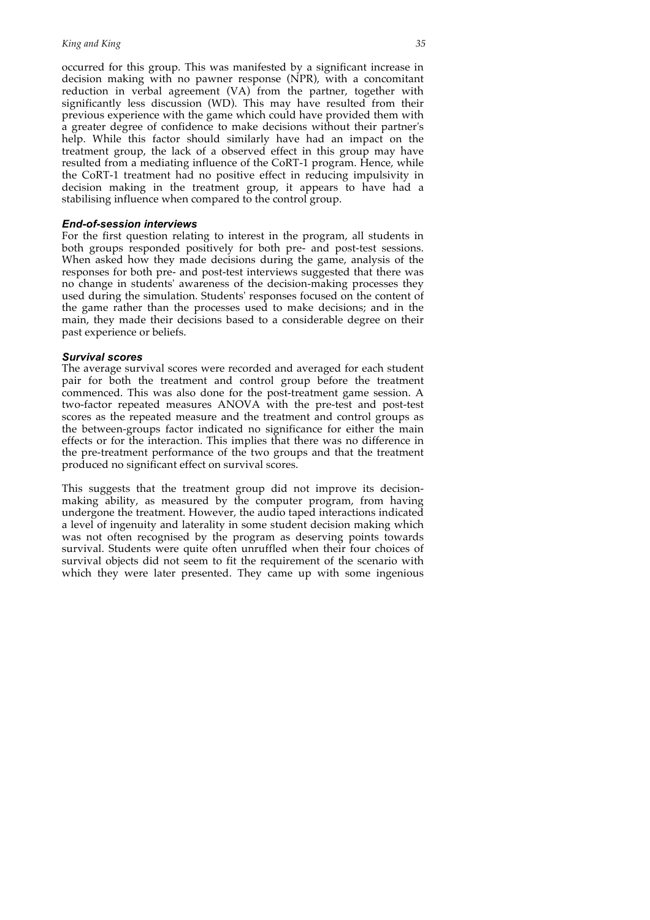occurred for this group. This was manifested by a significant increase in decision making with no pawner response (NPR), with a concomitant reduction in verbal agreement (VA) from the partner, together with significantly less discussion (WD). This may have resulted from their previous experience with the game which could have provided them with a greater degree of confidence to make decisions without their partner's help. While this factor should similarly have had an impact on the treatment group, the lack of a observed effect in this group may have resulted from a mediating influence of the CoRT-1 program. Hence, while the CoRT-1 treatment had no positive effect in reducing impulsivity in decision making in the treatment group, it appears to have had a stabilising influence when compared to the control group.

## *End-of-session interviews*

For the first question relating to interest in the program, all students in both groups responded positively for both pre- and post-test sessions. When asked how they made decisions during the game, analysis of the responses for both pre- and post-test interviews suggested that there was no change in students' awareness of the decision-making processes they used during the simulation. Students' responses focused on the content of the game rather than the processes used to make decisions; and in the main, they made their decisions based to a considerable degree on their past experience or beliefs.

## *Survival scores*

The average survival scores were recorded and averaged for each student pair for both the treatment and control group before the treatment commenced. This was also done for the post-treatment game session. A two-factor repeated measures ANOVA with the pre-test and post-test scores as the repeated measure and the treatment and control groups as the between-groups factor indicated no significance for either the main effects or for the interaction. This implies that there was no difference in the pre-treatment performance of the two groups and that the treatment produced no significant effect on survival scores.

This suggests that the treatment group did not improve its decisionmaking ability, as measured by the computer program, from having undergone the treatment. However, the audio taped interactions indicated a level of ingenuity and laterality in some student decision making which was not often recognised by the program as deserving points towards survival. Students were quite often unruffled when their four choices of survival objects did not seem to fit the requirement of the scenario with which they were later presented. They came up with some ingenious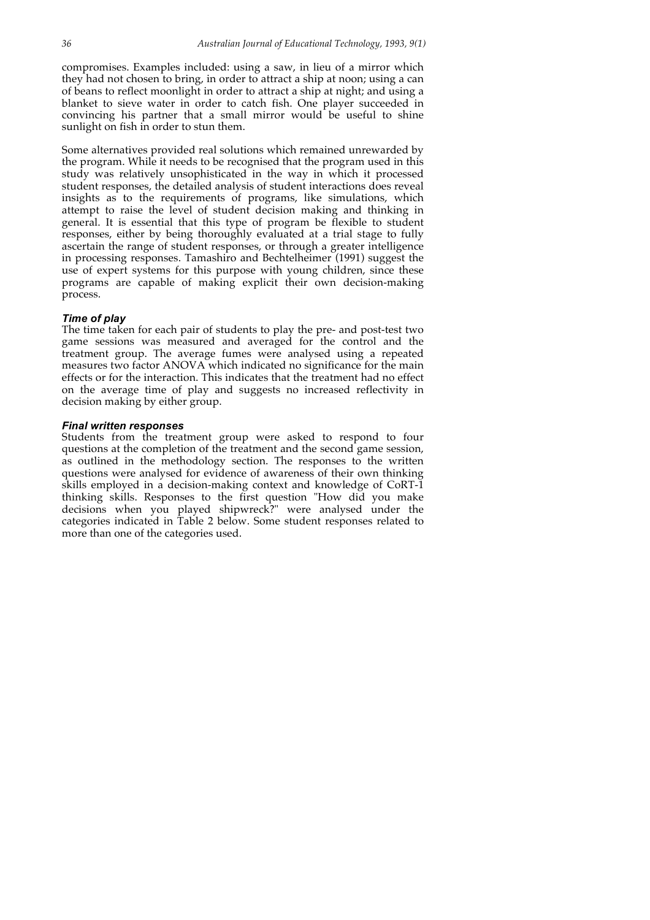compromises. Examples included: using a saw, in lieu of a mirror which they had not chosen to bring, in order to attract a ship at noon; using a can of beans to reflect moonlight in order to attract a ship at night; and using a blanket to sieve water in order to catch fish. One player succeeded in convincing his partner that a small mirror would be useful to shine sunlight on fish in order to stun them.

Some alternatives provided real solutions which remained unrewarded by the program. While it needs to be recognised that the program used in this study was relatively unsophisticated in the way in which it processed student responses, the detailed analysis of student interactions does reveal insights as to the requirements of programs, like simulations, which attempt to raise the level of student decision making and thinking in general. It is essential that this type of program be flexible to student responses, either by being thoroughly evaluated at a trial stage to fully ascertain the range of student responses, or through a greater intelligence in processing responses. Tamashiro and Bechtelheimer (1991) suggest the use of expert systems for this purpose with young children, since these programs are capable of making explicit their own decision-making process.

## *Time of play*

The time taken for each pair of students to play the pre- and post-test two game sessions was measured and averaged for the control and the treatment group. The average fumes were analysed using a repeated measures two factor ANOVA which indicated no significance for the main effects or for the interaction. This indicates that the treatment had no effect on the average time of play and suggests no increased reflectivity in decision making by either group.

#### *Final written responses*

Students from the treatment group were asked to respond to four questions at the completion of the treatment and the second game session, as outlined in the methodology section. The responses to the written questions were analysed for evidence of awareness of their own thinking skills employed in a decision-making context and knowledge of CoRT-1 thinking skills. Responses to the first question "How did you make decisions when you played shipwreck?" were analysed under the categories indicated in Table 2 below. Some student responses related to more than one of the categories used.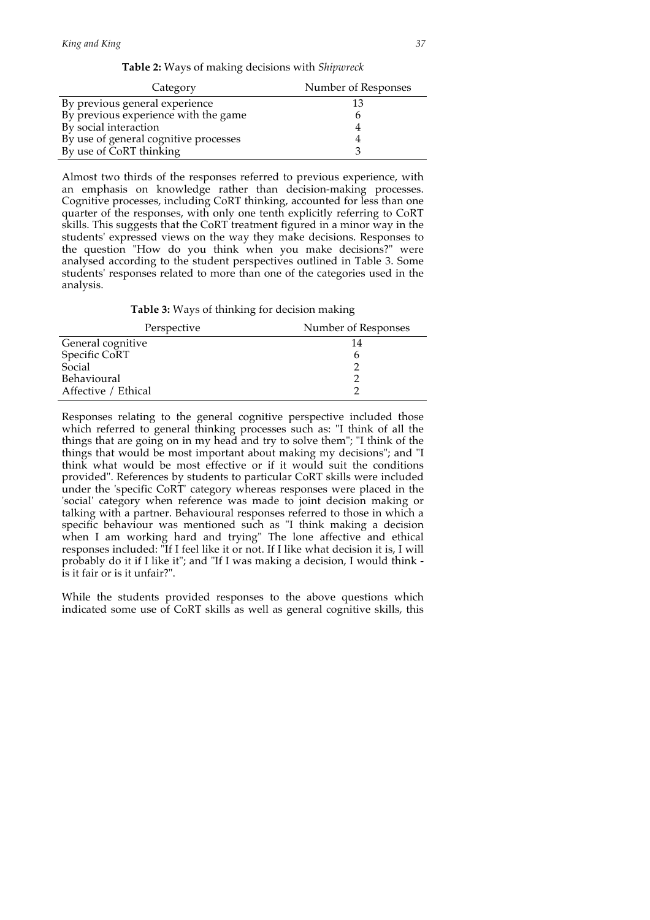|  |  |  | <b>Table 2:</b> Ways of making decisions with Shipwreck |  |  |  |
|--|--|--|---------------------------------------------------------|--|--|--|
|--|--|--|---------------------------------------------------------|--|--|--|

| Category                              | Number of Responses |
|---------------------------------------|---------------------|
| By previous general experience        |                     |
| By previous experience with the game  |                     |
| By social interaction                 |                     |
| By use of general cognitive processes |                     |
| By use of CoRT thinking               |                     |

Almost two thirds of the responses referred to previous experience, with an emphasis on knowledge rather than decision-making processes. Cognitive processes, including CoRT thinking, accounted for less than one quarter of the responses, with only one tenth explicitly referring to CoRT skills. This suggests that the CoRT treatment figured in a minor way in the students' expressed views on the way they make decisions. Responses to the question "How do you think when you make decisions?" were analysed according to the student perspectives outlined in Table 3. Some students' responses related to more than one of the categories used in the analysis.

**Table 3:** Ways of thinking for decision making

| Perspective         | Number of Responses |
|---------------------|---------------------|
| General cognitive   | 14                  |
| Specific CoRT       |                     |
| Social              |                     |
| Behavioural         |                     |
| Affective / Ethical |                     |

Responses relating to the general cognitive perspective included those which referred to general thinking processes such as: "I think of all the things that are going on in my head and try to solve them"; "I think of the things that would be most important about making my decisions"; and "I think what would be most effective or if it would suit the conditions provided". References by students to particular CoRT skills were included under the 'specific CoRT' category whereas responses were placed in the 'social' category when reference was made to joint decision making or talking with a partner. Behavioural responses referred to those in which a specific behaviour was mentioned such as "I think making a decision when I am working hard and trying" The lone affective and ethical responses included: "If I feel like it or not. If I like what decision it is, I will probably do it if I like it"; and "If I was making a decision, I would think is it fair or is it unfair?".

While the students provided responses to the above questions which indicated some use of CoRT skills as well as general cognitive skills, this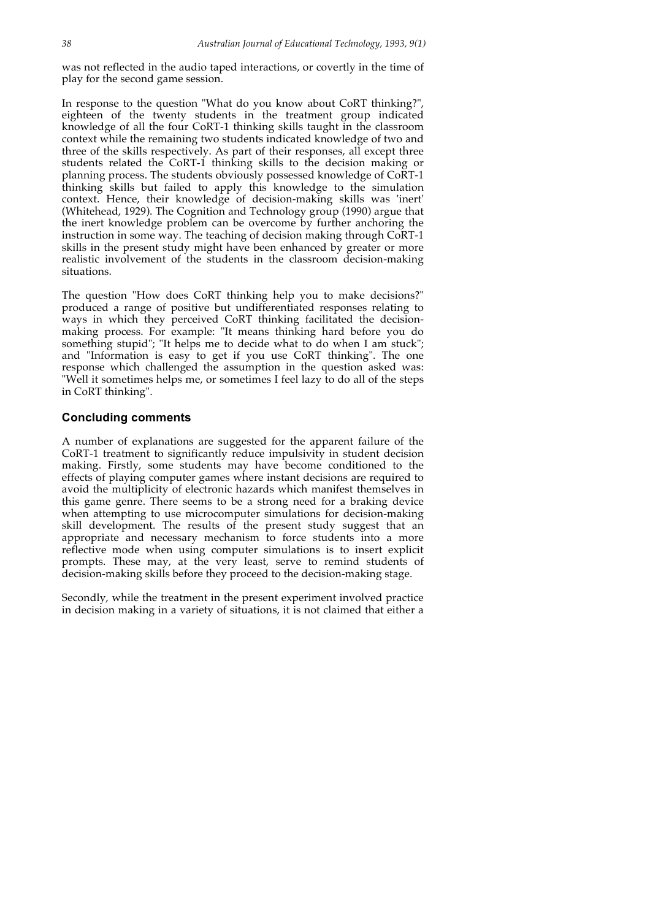was not reflected in the audio taped interactions, or covertly in the time of play for the second game session.

In response to the question "What do you know about CoRT thinking?", eighteen of the twenty students in the treatment group indicated knowledge of all the four CoRT-1 thinking skills taught in the classroom context while the remaining two students indicated knowledge of two and three of the skills respectively. As part of their responses, all except three students related the CoRT-1 thinking skills to the decision making or planning process. The students obviously possessed knowledge of CoRT-1 thinking skills but failed to apply this knowledge to the simulation context. Hence, their knowledge of decision-making skills was 'inert' (Whitehead, 1929). The Cognition and Technology group (1990) argue that the inert knowledge problem can be overcome by further anchoring the instruction in some way. The teaching of decision making through CoRT-1 skills in the present study might have been enhanced by greater or more realistic involvement of the students in the classroom decision-making situations.

The question "How does CoRT thinking help you to make decisions?" produced a range of positive but undifferentiated responses relating to ways in which they perceived CoRT thinking facilitated the decisionmaking process. For example: "It means thinking hard before you do something stupid"; "It helps me to decide what to do when I am stuck"; and "Information is easy to get if you use CoRT thinking". The one response which challenged the assumption in the question asked was: "Well it sometimes helps me, or sometimes I feel lazy to do all of the steps in CoRT thinking".

## **Concluding comments**

A number of explanations are suggested for the apparent failure of the CoRT-1 treatment to significantly reduce impulsivity in student decision making. Firstly, some students may have become conditioned to the effects of playing computer games where instant decisions are required to avoid the multiplicity of electronic hazards which manifest themselves in this game genre. There seems to be a strong need for a braking device when attempting to use microcomputer simulations for decision-making skill development. The results of the present study suggest that an appropriate and necessary mechanism to force students into a more reflective mode when using computer simulations is to insert explicit prompts. These may, at the very least, serve to remind students of decision-making skills before they proceed to the decision-making stage.

Secondly, while the treatment in the present experiment involved practice in decision making in a variety of situations, it is not claimed that either a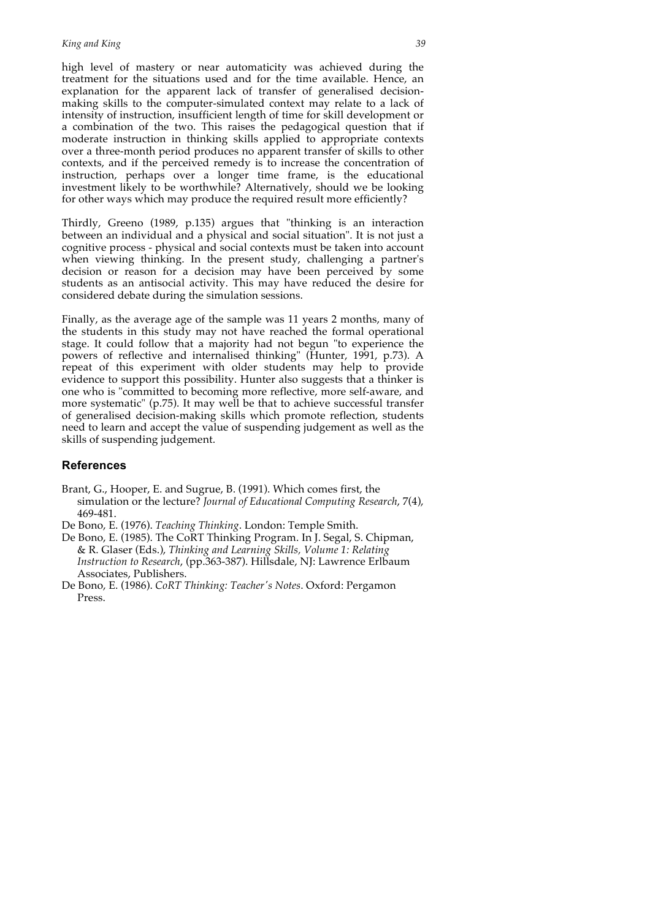high level of mastery or near automaticity was achieved during the treatment for the situations used and for the time available. Hence, an explanation for the apparent lack of transfer of generalised decisionmaking skills to the computer-simulated context may relate to a lack of intensity of instruction, insufficient length of time for skill development or a combination of the two. This raises the pedagogical question that if moderate instruction in thinking skills applied to appropriate contexts over a three-month period produces no apparent transfer of skills to other contexts, and if the perceived remedy is to increase the concentration of instruction, perhaps over a longer time frame, is the educational investment likely to be worthwhile? Alternatively, should we be looking for other ways which may produce the required result more efficiently?

Thirdly, Greeno (1989, p.135) argues that "thinking is an interaction between an individual and a physical and social situation". It is not just a cognitive process - physical and social contexts must be taken into account when viewing thinking. In the present study, challenging a partner's decision or reason for a decision may have been perceived by some students as an antisocial activity. This may have reduced the desire for considered debate during the simulation sessions.

Finally, as the average age of the sample was 11 years 2 months, many of the students in this study may not have reached the formal operational stage. It could follow that a majority had not begun "to experience the powers of reflective and internalised thinking" (Hunter, 1991, p.73). A repeat of this experiment with older students may help to provide evidence to support this possibility. Hunter also suggests that a thinker is one who is "committed to becoming more reflective, more self-aware, and more systematic" (p.75). It may well be that to achieve successful transfer of generalised decision-making skills which promote reflection, students need to learn and accept the value of suspending judgement as well as the skills of suspending judgement.

# **References**

- Brant, G., Hooper, E. and Sugrue, B. (1991). Which comes first, the simulation or the lecture? *Journal of Educational Computing Research*, 7(4), 469-481.
- De Bono, E. (1976). *Teaching Thinking*. London: Temple Smith.
- De Bono, E. (1985). The CoRT Thinking Program. In J. Segal, S. Chipman, & R. Glaser (Eds.), *Thinking and Learning Skills, Volume 1: Relating Instruction to Research*, (pp.363-387). Hillsdale, NJ: Lawrence Erlbaum Associates, Publishers.
- De Bono, E. (1986). *CoRT Thinking: Teacher's Notes*. Oxford: Pergamon Press.